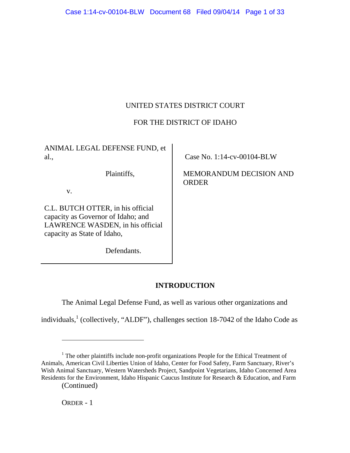# UNITED STATES DISTRICT COURT

# FOR THE DISTRICT OF IDAHO

ANIMAL LEGAL DEFENSE FUND, et al.,

Plaintiffs,

v.

C.L. BUTCH OTTER, in his official capacity as Governor of Idaho; and LAWRENCE WASDEN, in his official capacity as State of Idaho,

Defendants.

Case No. 1:14-cv-00104-BLW

MEMORANDUM DECISION AND ORDER

# **INTRODUCTION**

The Animal Legal Defense Fund, as well as various other organizations and

individuals,<sup>1</sup> (collectively, "ALDF"), challenges section 18-7042 of the Idaho Code as

 $\overline{a}$ 

 $<sup>1</sup>$  The other plaintiffs include non-profit organizations People for the Ethical Treatment of</sup> Animals, American Civil Liberties Union of Idaho, Center for Food Safety, Farm Sanctuary, River's Wish Animal Sanctuary, Western Watersheds Project, Sandpoint Vegetarians, Idaho Concerned Area Residents for the Environment, Idaho Hispanic Caucus Institute for Research & Education, and Farm

<sup>(</sup>Continued)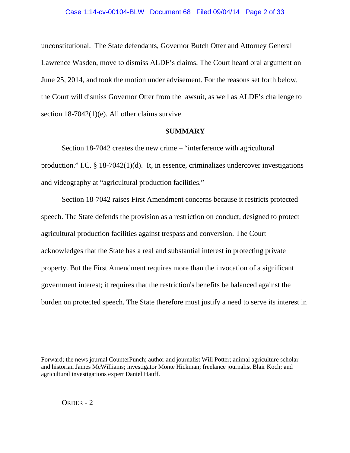unconstitutional. The State defendants, Governor Butch Otter and Attorney General Lawrence Wasden, move to dismiss ALDF's claims. The Court heard oral argument on June 25, 2014, and took the motion under advisement. For the reasons set forth below, the Court will dismiss Governor Otter from the lawsuit, as well as ALDF's challenge to section 18-7042(1)(e). All other claims survive.

# **SUMMARY**

Section 18-7042 creates the new crime – "interference with agricultural production." I.C. § 18-7042(1)(d). It, in essence, criminalizes undercover investigations and videography at "agricultural production facilities."

Section 18-7042 raises First Amendment concerns because it restricts protected speech. The State defends the provision as a restriction on conduct, designed to protect agricultural production facilities against trespass and conversion. The Court acknowledges that the State has a real and substantial interest in protecting private property. But the First Amendment requires more than the invocation of a significant government interest; it requires that the restriction's benefits be balanced against the burden on protected speech. The State therefore must justify a need to serve its interest in

 $\overline{a}$ 

Forward; the news journal CounterPunch; author and journalist Will Potter; animal agriculture scholar and historian James McWilliams; investigator Monte Hickman; freelance journalist Blair Koch; and agricultural investigations expert Daniel Hauff.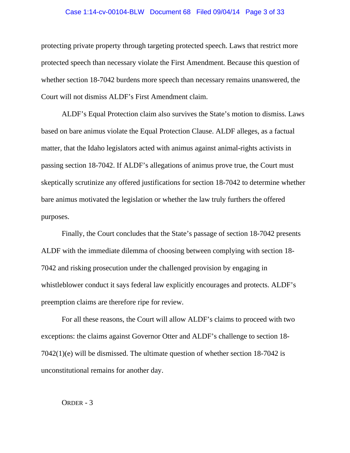### Case 1:14-cv-00104-BLW Document 68 Filed 09/04/14 Page 3 of 33

protecting private property through targeting protected speech. Laws that restrict more protected speech than necessary violate the First Amendment. Because this question of whether section 18-7042 burdens more speech than necessary remains unanswered, the Court will not dismiss ALDF's First Amendment claim.

ALDF's Equal Protection claim also survives the State's motion to dismiss. Laws based on bare animus violate the Equal Protection Clause. ALDF alleges, as a factual matter, that the Idaho legislators acted with animus against animal-rights activists in passing section 18-7042. If ALDF's allegations of animus prove true, the Court must skeptically scrutinize any offered justifications for section 18-7042 to determine whether bare animus motivated the legislation or whether the law truly furthers the offered purposes.

Finally, the Court concludes that the State's passage of section 18-7042 presents ALDF with the immediate dilemma of choosing between complying with section 18- 7042 and risking prosecution under the challenged provision by engaging in whistleblower conduct it says federal law explicitly encourages and protects. ALDF's preemption claims are therefore ripe for review.

For all these reasons, the Court will allow ALDF's claims to proceed with two exceptions: the claims against Governor Otter and ALDF's challenge to section 18- 7042(1)(e) will be dismissed. The ultimate question of whether section 18-7042 is unconstitutional remains for another day.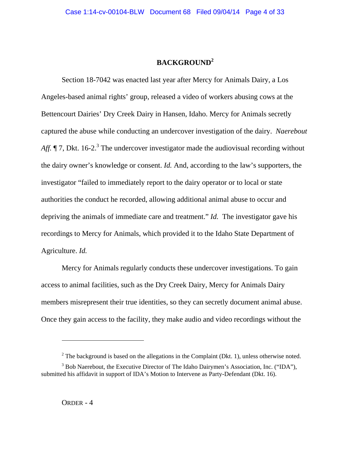# **BACKGROUND2**

Section 18-7042 was enacted last year after Mercy for Animals Dairy, a Los Angeles-based animal rights' group, released a video of workers abusing cows at the Bettencourt Dairies' Dry Creek Dairy in Hansen, Idaho. Mercy for Animals secretly captured the abuse while conducting an undercover investigation of the dairy. *Naerebout*  Aff. 17, Dkt. 16-2.<sup>3</sup> The undercover investigator made the audiovisual recording without the dairy owner's knowledge or consent. *Id.* And, according to the law's supporters, the investigator "failed to immediately report to the dairy operator or to local or state authorities the conduct he recorded, allowing additional animal abuse to occur and depriving the animals of immediate care and treatment." *Id.* The investigator gave his recordings to Mercy for Animals, which provided it to the Idaho State Department of Agriculture. *Id.* 

Mercy for Animals regularly conducts these undercover investigations. To gain access to animal facilities, such as the Dry Creek Dairy, Mercy for Animals Dairy members misrepresent their true identities, so they can secretly document animal abuse. Once they gain access to the facility, they make audio and video recordings without the

 $\overline{a}$ 

 $2^2$  The background is based on the allegations in the Complaint (Dkt. 1), unless otherwise noted.

<sup>&</sup>lt;sup>3</sup> Bob Naerebout, the Executive Director of The Idaho Dairymen's Association, Inc. ("IDA"), submitted his affidavit in support of IDA's Motion to Intervene as Party-Defendant (Dkt. 16).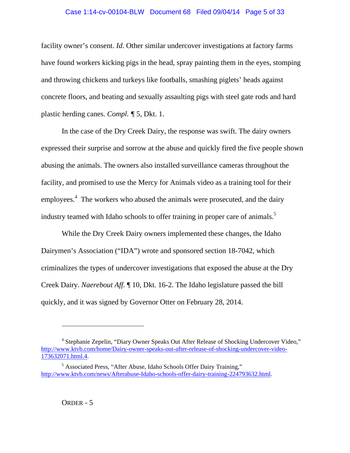### Case 1:14-cv-00104-BLW Document 68 Filed 09/04/14 Page 5 of 33

facility owner's consent. *Id*. Other similar undercover investigations at factory farms have found workers kicking pigs in the head, spray painting them in the eyes, stomping and throwing chickens and turkeys like footballs, smashing piglets' heads against concrete floors, and beating and sexually assaulting pigs with steel gate rods and hard plastic herding canes. *Compl. ¶* 5, Dkt. 1.

In the case of the Dry Creek Dairy, the response was swift. The dairy owners expressed their surprise and sorrow at the abuse and quickly fired the five people shown abusing the animals. The owners also installed surveillance cameras throughout the facility, and promised to use the Mercy for Animals video as a training tool for their employees.<sup>4</sup> The workers who abused the animals were prosecuted, and the dairy industry teamed with Idaho schools to offer training in proper care of animals.<sup>5</sup>

While the Dry Creek Dairy owners implemented these changes, the Idaho Dairymen's Association ("IDA") wrote and sponsored section 18-7042, which criminalizes the types of undercover investigations that exposed the abuse at the Dry Creek Dairy. *Naerebout Aff.* ¶ 10, Dkt. 16-2. The Idaho legislature passed the bill quickly, and it was signed by Governor Otter on February 28, 2014.

 $\overline{a}$ 

<sup>&</sup>lt;sup>4</sup> Stephanie Zepelin, "Diary Owner Speaks Out After Release of Shocking Undercover Video," http://www.ktvb.com/home/Dairy-owner-speaks-out-after-release-of-shocking-undercover-video-173632071.html.4.

<sup>&</sup>lt;sup>5</sup> Associated Press, "After Abuse, Idaho Schools Offer Dairy Training," http://www.ktvb.com/news/Afterabuse-Idaho-schools-offer-dairy-training-224793632.html.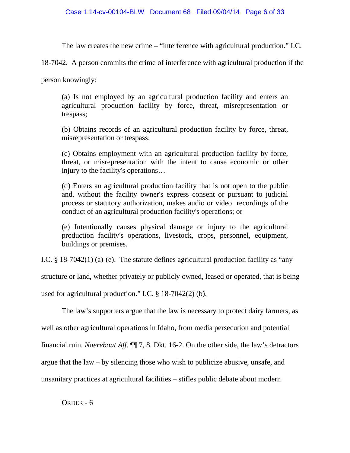The law creates the new crime – "interference with agricultural production." I.C.

18-7042. A person commits the crime of interference with agricultural production if the

person knowingly:

(a) Is not employed by an agricultural production facility and enters an agricultural production facility by force, threat, misrepresentation or trespass;

(b) Obtains records of an agricultural production facility by force, threat, misrepresentation or trespass;

(c) Obtains employment with an agricultural production facility by force, threat, or misrepresentation with the intent to cause economic or other injury to the facility's operations…

(d) Enters an agricultural production facility that is not open to the public and, without the facility owner's express consent or pursuant to judicial process or statutory authorization, makes audio or video recordings of the conduct of an agricultural production facility's operations; or

(e) Intentionally causes physical damage or injury to the agricultural production facility's operations, livestock, crops, personnel, equipment, buildings or premises.

I.C. § 18-7042(1) (a)-(e). The statute defines agricultural production facility as "any

structure or land, whether privately or publicly owned, leased or operated, that is being

used for agricultural production." I.C. § 18-7042(2) (b).

The law's supporters argue that the law is necessary to protect dairy farmers, as well as other agricultural operations in Idaho, from media persecution and potential financial ruin. *Naerebout Aff.* ¶¶ 7, 8. Dkt. 16-2. On the other side, the law's detractors argue that the law – by silencing those who wish to publicize abusive, unsafe, and unsanitary practices at agricultural facilities – stifles public debate about modern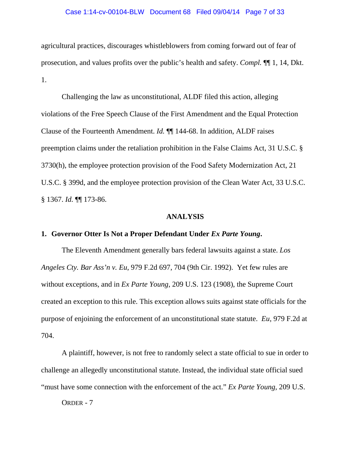### Case 1:14-cv-00104-BLW Document 68 Filed 09/04/14 Page 7 of 33

agricultural practices, discourages whistleblowers from coming forward out of fear of prosecution, and values profits over the public's health and safety. *Compl.* ¶¶ 1, 14, Dkt. 1.

Challenging the law as unconstitutional, ALDF filed this action, alleging violations of the Free Speech Clause of the First Amendment and the Equal Protection Clause of the Fourteenth Amendment. *Id.* ¶¶ 144-68. In addition, ALDF raises preemption claims under the retaliation prohibition in the False Claims Act, 31 U.S.C. § 3730(h), the employee protection provision of the Food Safety Modernization Act, 21 U.S.C. § 399d, and the employee protection provision of the Clean Water Act, 33 U.S.C. § 1367. *Id.* ¶¶ 173-86.

### **ANALYSIS**

# **1. Governor Otter Is Not a Proper Defendant Under** *Ex Parte Young***.**

The Eleventh Amendment generally bars federal lawsuits against a state. *Los Angeles Cty. Bar Ass'n v. Eu*, 979 F.2d 697, 704 (9th Cir. 1992). Yet few rules are without exceptions, and in *Ex Parte Young*, 209 U.S. 123 (1908), the Supreme Court created an exception to this rule. This exception allows suits against state officials for the purpose of enjoining the enforcement of an unconstitutional state statute. *Eu*, 979 F.2d at 704.

A plaintiff, however, is not free to randomly select a state official to sue in order to challenge an allegedly unconstitutional statute. Instead, the individual state official sued "must have some connection with the enforcement of the act." *Ex Parte Young,* 209 U.S.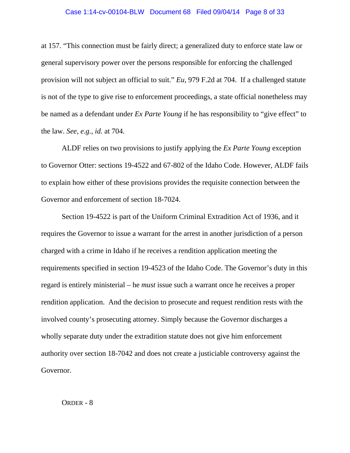### Case 1:14-cv-00104-BLW Document 68 Filed 09/04/14 Page 8 of 33

at 157. "This connection must be fairly direct; a generalized duty to enforce state law or general supervisory power over the persons responsible for enforcing the challenged provision will not subject an official to suit." *Eu*, 979 F.2d at 704. If a challenged statute is not of the type to give rise to enforcement proceedings, a state official nonetheless may be named as a defendant under *Ex Parte Young* if he has responsibility to "give effect" to the law. *See, e.g., id.* at 704.

ALDF relies on two provisions to justify applying the *Ex Parte Young* exception to Governor Otter: sections 19-4522 and 67-802 of the Idaho Code. However, ALDF fails to explain how either of these provisions provides the requisite connection between the Governor and enforcement of section 18-7024.

Section 19-4522 is part of the Uniform Criminal Extradition Act of 1936, and it requires the Governor to issue a warrant for the arrest in another jurisdiction of a person charged with a crime in Idaho if he receives a rendition application meeting the requirements specified in section 19-4523 of the Idaho Code. The Governor's duty in this regard is entirely ministerial – he *must* issue such a warrant once he receives a proper rendition application. And the decision to prosecute and request rendition rests with the involved county's prosecuting attorney. Simply because the Governor discharges a wholly separate duty under the extradition statute does not give him enforcement authority over section 18-7042 and does not create a justiciable controversy against the Governor.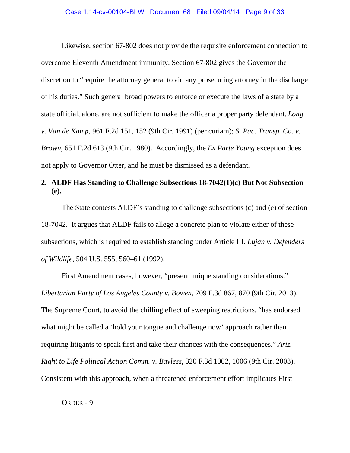Likewise, section 67-802 does not provide the requisite enforcement connection to overcome Eleventh Amendment immunity. Section 67-802 gives the Governor the discretion to "require the attorney general to aid any prosecuting attorney in the discharge of his duties." Such general broad powers to enforce or execute the laws of a state by a state official, alone, are not sufficient to make the officer a proper party defendant. *Long v. Van de Kamp*, 961 F.2d 151, 152 (9th Cir. 1991) (per curiam); *S. Pac. Transp. Co. v. Brown*, 651 F.2d 613 (9th Cir. 1980). Accordingly, the *Ex Parte Young* exception does not apply to Governor Otter, and he must be dismissed as a defendant.

# **2. ALDF Has Standing to Challenge Subsections 18-7042(1)(c) But Not Subsection (e).**

The State contests ALDF's standing to challenge subsections (c) and (e) of section 18-7042. It argues that ALDF fails to allege a concrete plan to violate either of these subsections, which is required to establish standing under Article III. *Lujan v. Defenders of Wildlife*, 504 U.S. 555, 560–61 (1992).

First Amendment cases, however, "present unique standing considerations." *Libertarian Party of Los Angeles County v. Bowen*, 709 F.3d 867, 870 (9th Cir. 2013). The Supreme Court, to avoid the chilling effect of sweeping restrictions, "has endorsed what might be called a 'hold your tongue and challenge now' approach rather than requiring litigants to speak first and take their chances with the consequences." *Ariz. Right to Life Political Action Comm. v. Bayless*, 320 F.3d 1002, 1006 (9th Cir. 2003). Consistent with this approach, when a threatened enforcement effort implicates First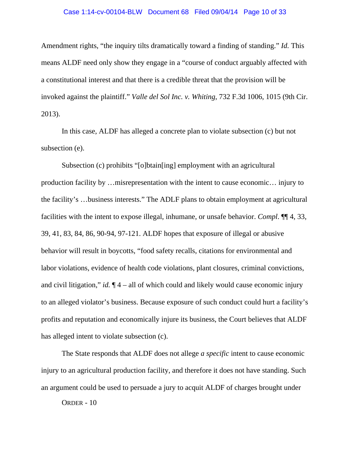### Case 1:14-cv-00104-BLW Document 68 Filed 09/04/14 Page 10 of 33

Amendment rights, "the inquiry tilts dramatically toward a finding of standing." *Id.* This means ALDF need only show they engage in a "course of conduct arguably affected with a constitutional interest and that there is a credible threat that the provision will be invoked against the plaintiff." *Valle del Sol Inc. v. Whiting*, 732 F.3d 1006, 1015 (9th Cir. 2013).

In this case, ALDF has alleged a concrete plan to violate subsection (c) but not subsection (e).

Subsection (c) prohibits "[o]btain[ing] employment with an agricultural production facility by …misrepresentation with the intent to cause economic… injury to the facility's …business interests." The ADLF plans to obtain employment at agricultural facilities with the intent to expose illegal, inhumane, or unsafe behavior. *Compl*. ¶¶ 4, 33, 39, 41, 83, 84, 86, 90-94, 97-121. ALDF hopes that exposure of illegal or abusive behavior will result in boycotts, "food safety recalls, citations for environmental and labor violations, evidence of health code violations, plant closures, criminal convictions, and civil litigation," *id.* ¶ 4 – all of which could and likely would cause economic injury to an alleged violator's business. Because exposure of such conduct could hurt a facility's profits and reputation and economically injure its business, the Court believes that ALDF has alleged intent to violate subsection (c).

The State responds that ALDF does not allege *a specific* intent to cause economic injury to an agricultural production facility, and therefore it does not have standing. Such an argument could be used to persuade a jury to acquit ALDF of charges brought under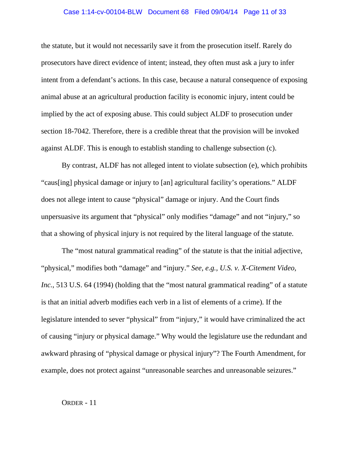## Case 1:14-cv-00104-BLW Document 68 Filed 09/04/14 Page 11 of 33

the statute, but it would not necessarily save it from the prosecution itself. Rarely do prosecutors have direct evidence of intent; instead, they often must ask a jury to infer intent from a defendant's actions. In this case, because a natural consequence of exposing animal abuse at an agricultural production facility is economic injury, intent could be implied by the act of exposing abuse. This could subject ALDF to prosecution under section 18-7042. Therefore, there is a credible threat that the provision will be invoked against ALDF. This is enough to establish standing to challenge subsection (c).

By contrast, ALDF has not alleged intent to violate subsection (e), which prohibits "caus[ing] physical damage or injury to [an] agricultural facility's operations." ALDF does not allege intent to cause "physical" damage or injury. And the Court finds unpersuasive its argument that "physical" only modifies "damage" and not "injury," so that a showing of physical injury is not required by the literal language of the statute.

The "most natural grammatical reading" of the statute is that the initial adjective, "physical," modifies both "damage" and "injury." *See, e.g., U.S. v. X-Citement Video, Inc.*, 513 U.S. 64 (1994) (holding that the "most natural grammatical reading" of a statute is that an initial adverb modifies each verb in a list of elements of a crime). If the legislature intended to sever "physical" from "injury," it would have criminalized the act of causing "injury or physical damage." Why would the legislature use the redundant and awkward phrasing of "physical damage or physical injury"? The Fourth Amendment, for example, does not protect against "unreasonable searches and unreasonable seizures."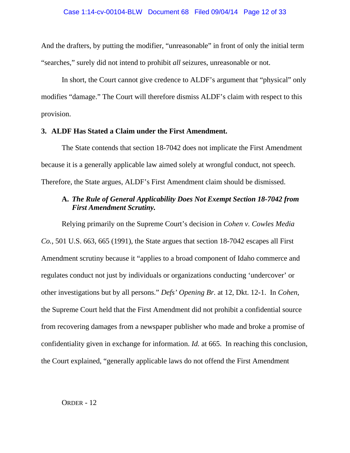And the drafters, by putting the modifier, "unreasonable" in front of only the initial term "searches," surely did not intend to prohibit *all* seizures, unreasonable or not.

In short, the Court cannot give credence to ALDF's argument that "physical" only modifies "damage." The Court will therefore dismiss ALDF's claim with respect to this provision.

### **3. ALDF Has Stated a Claim under the First Amendment.**

The State contends that section 18-7042 does not implicate the First Amendment because it is a generally applicable law aimed solely at wrongful conduct, not speech. Therefore, the State argues, ALDF's First Amendment claim should be dismissed.

# **A.** *The Rule of General Applicability Does Not Exempt Section 18-7042 from First Amendment Scrutiny.*

Relying primarily on the Supreme Court's decision in *Cohen v. Cowles Media Co.*, 501 U.S. 663, 665 (1991), the State argues that section 18-7042 escapes all First Amendment scrutiny because it "applies to a broad component of Idaho commerce and regulates conduct not just by individuals or organizations conducting 'undercover' or other investigations but by all persons." *Defs' Opening Br.* at 12, Dkt. 12-1. In *Cohen*, the Supreme Court held that the First Amendment did not prohibit a confidential source from recovering damages from a newspaper publisher who made and broke a promise of confidentiality given in exchange for information. *Id.* at 665. In reaching this conclusion, the Court explained, "generally applicable laws do not offend the First Amendment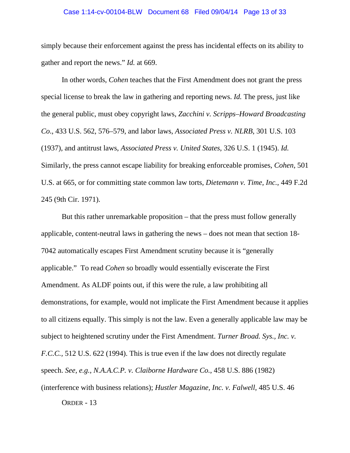### Case 1:14-cv-00104-BLW Document 68 Filed 09/04/14 Page 13 of 33

simply because their enforcement against the press has incidental effects on its ability to gather and report the news." *Id.* at 669.

In other words, *Cohen* teaches that the First Amendment does not grant the press special license to break the law in gathering and reporting news. *Id.* The press, just like the general public, must obey copyright laws, *Zacchini v. Scripps–Howard Broadcasting Co*., 433 U.S. 562, 576–579, and labor laws*, Associated Press v. NLRB*, 301 U.S. 103 (1937), and antitrust laws, *Associated Press v. United States*, 326 U.S. 1 (1945). *Id.*  Similarly, the press cannot escape liability for breaking enforceable promises, *Cohen*, 501 U.S. at 665, or for committing state common law torts, *Dietemann v. Time, Inc.*, 449 F.2d 245 (9th Cir. 1971).

But this rather unremarkable proposition – that the press must follow generally applicable, content-neutral laws in gathering the news – does not mean that section 18- 7042 automatically escapes First Amendment scrutiny because it is "generally applicable." To read *Cohen* so broadly would essentially eviscerate the First Amendment. As ALDF points out, if this were the rule, a law prohibiting all demonstrations, for example, would not implicate the First Amendment because it applies to all citizens equally. This simply is not the law. Even a generally applicable law may be subject to heightened scrutiny under the First Amendment. *Turner Broad. Sys., Inc. v. F.C.C.,* 512 U.S. 622 (1994). This is true even if the law does not directly regulate speech. *See, e.g., N.A.A.C.P. v. Claiborne Hardware Co.*, 458 U.S. 886 (1982) (interference with business relations); *Hustler Magazine, Inc. v. Falwell*, 485 U.S. 46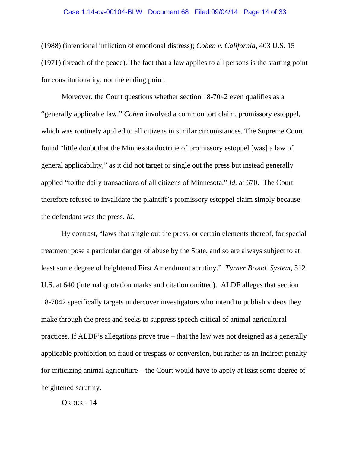### Case 1:14-cv-00104-BLW Document 68 Filed 09/04/14 Page 14 of 33

(1988) (intentional infliction of emotional distress); *Cohen v. California*, 403 U.S. 15 (1971) (breach of the peace). The fact that a law applies to all persons is the starting point for constitutionality, not the ending point.

Moreover, the Court questions whether section 18-7042 even qualifies as a "generally applicable law." *Cohen* involved a common tort claim, promissory estoppel, which was routinely applied to all citizens in similar circumstances. The Supreme Court found "little doubt that the Minnesota doctrine of promissory estoppel [was] a law of general applicability," as it did not target or single out the press but instead generally applied "to the daily transactions of all citizens of Minnesota." *Id.* at 670. The Court therefore refused to invalidate the plaintiff's promissory estoppel claim simply because the defendant was the press. *Id.*

By contrast, "laws that single out the press, or certain elements thereof, for special treatment pose a particular danger of abuse by the State, and so are always subject to at least some degree of heightened First Amendment scrutiny." *Turner Broad. System*, 512 U.S. at 640 (internal quotation marks and citation omitted). ALDF alleges that section 18-7042 specifically targets undercover investigators who intend to publish videos they make through the press and seeks to suppress speech critical of animal agricultural practices. If ALDF's allegations prove true – that the law was not designed as a generally applicable prohibition on fraud or trespass or conversion, but rather as an indirect penalty for criticizing animal agriculture – the Court would have to apply at least some degree of heightened scrutiny.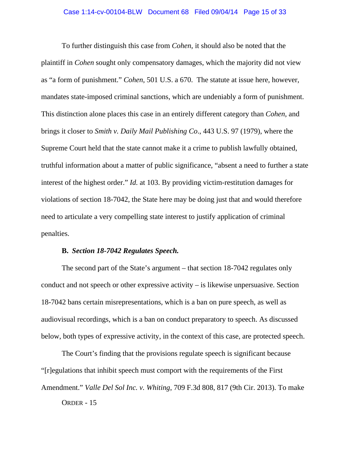To further distinguish this case from *Cohen*, it should also be noted that the plaintiff in *Cohen* sought only compensatory damages, which the majority did not view as "a form of punishment." *Cohen*, 501 U.S. a 670. The statute at issue here, however, mandates state-imposed criminal sanctions, which are undeniably a form of punishment. This distinction alone places this case in an entirely different category than *Cohen*, and brings it closer to *Smith v. Daily Mail Publishing Co*., 443 U.S. 97 (1979), where the Supreme Court held that the state cannot make it a crime to publish lawfully obtained, truthful information about a matter of public significance, "absent a need to further a state interest of the highest order." *Id.* at 103. By providing victim-restitution damages for violations of section 18-7042, the State here may be doing just that and would therefore need to articulate a very compelling state interest to justify application of criminal penalties.

### **B.** *Section 18-7042 Regulates Speech.*

The second part of the State's argument – that section 18-7042 regulates only conduct and not speech or other expressive activity – is likewise unpersuasive. Section 18-7042 bans certain misrepresentations, which is a ban on pure speech, as well as audiovisual recordings, which is a ban on conduct preparatory to speech. As discussed below, both types of expressive activity, in the context of this case, are protected speech.

The Court's finding that the provisions regulate speech is significant because "[r]egulations that inhibit speech must comport with the requirements of the First Amendment." *Valle Del Sol Inc. v. Whiting*, 709 F.3d 808, 817 (9th Cir. 2013). To make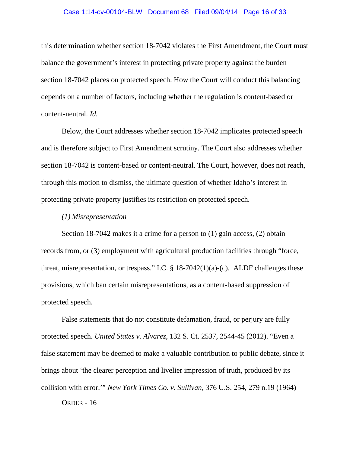### Case 1:14-cv-00104-BLW Document 68 Filed 09/04/14 Page 16 of 33

this determination whether section 18-7042 violates the First Amendment, the Court must balance the government's interest in protecting private property against the burden section 18-7042 places on protected speech. How the Court will conduct this balancing depends on a number of factors, including whether the regulation is content-based or content-neutral. *Id.*

Below, the Court addresses whether section 18-7042 implicates protected speech and is therefore subject to First Amendment scrutiny. The Court also addresses whether section 18-7042 is content-based or content-neutral. The Court, however, does not reach, through this motion to dismiss, the ultimate question of whether Idaho's interest in protecting private property justifies its restriction on protected speech.

### *(1) Misrepresentation*

Section 18-7042 makes it a crime for a person to (1) gain access, (2) obtain records from, or (3) employment with agricultural production facilities through "force, threat, misrepresentation, or trespass." I.C.  $\S$  18-7042(1)(a)-(c). ALDF challenges these provisions, which ban certain misrepresentations, as a content-based suppression of protected speech.

False statements that do not constitute defamation, fraud, or perjury are fully protected speech. *United States v. Alvarez*, 132 S. Ct. 2537, 2544-45 (2012). "Even a false statement may be deemed to make a valuable contribution to public debate, since it brings about 'the clearer perception and livelier impression of truth, produced by its collision with error.'" *New York Times Co. v. Sullivan*, 376 U.S. 254, 279 n.19 (1964)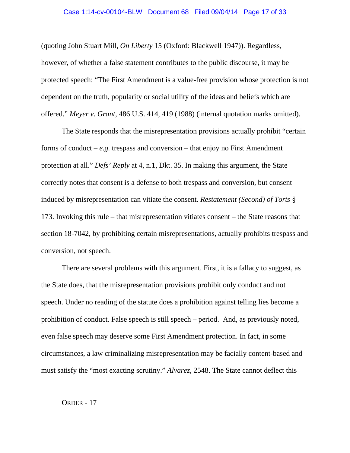## Case 1:14-cv-00104-BLW Document 68 Filed 09/04/14 Page 17 of 33

(quoting John Stuart Mill, *On Liberty* 15 (Oxford: Blackwell 1947)). Regardless, however, of whether a false statement contributes to the public discourse, it may be protected speech: "The First Amendment is a value-free provision whose protection is not dependent on the truth, popularity or social utility of the ideas and beliefs which are offered." *Meyer v. Grant*, 486 U.S. 414, 419 (1988) (internal quotation marks omitted).

The State responds that the misrepresentation provisions actually prohibit "certain forms of conduct  $-e.g.$  trespass and conversion  $-$  that enjoy no First Amendment protection at all." *Defs' Reply* at 4, n.1, Dkt. 35. In making this argument, the State correctly notes that consent is a defense to both trespass and conversion, but consent induced by misrepresentation can vitiate the consent. *Restatement (Second) of Torts* § 173. Invoking this rule – that misrepresentation vitiates consent – the State reasons that section 18-7042, by prohibiting certain misrepresentations, actually prohibits trespass and conversion, not speech.

There are several problems with this argument. First, it is a fallacy to suggest, as the State does, that the misrepresentation provisions prohibit only conduct and not speech. Under no reading of the statute does a prohibition against telling lies become a prohibition of conduct. False speech is still speech – period. And, as previously noted, even false speech may deserve some First Amendment protection. In fact, in some circumstances, a law criminalizing misrepresentation may be facially content-based and must satisfy the "most exacting scrutiny." *Alvarez*, 2548. The State cannot deflect this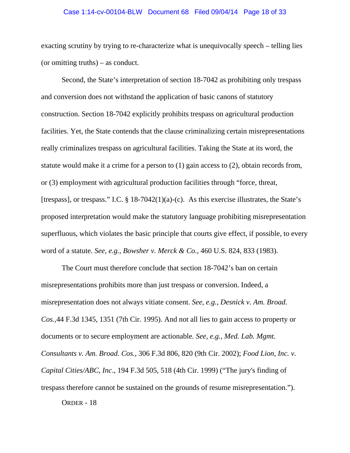### Case 1:14-cv-00104-BLW Document 68 Filed 09/04/14 Page 18 of 33

exacting scrutiny by trying to re-characterize what is unequivocally speech – telling lies (or omitting truths) – as conduct.

Second, the State's interpretation of section 18-7042 as prohibiting only trespass and conversion does not withstand the application of basic canons of statutory construction. Section 18-7042 explicitly prohibits trespass on agricultural production facilities. Yet, the State contends that the clause criminalizing certain misrepresentations really criminalizes trespass on agricultural facilities. Taking the State at its word, the statute would make it a crime for a person to (1) gain access to (2), obtain records from, or (3) employment with agricultural production facilities through "force, threat, [trespass], or trespass." I.C.  $\S$  18-7042(1)(a)-(c). As this exercise illustrates, the State's proposed interpretation would make the statutory language prohibiting misrepresentation superfluous, which violates the basic principle that courts give effect, if possible, to every word of a statute. *See, e.g., Bowsher v. Merck & Co*., 460 U.S. 824, 833 (1983).

The Court must therefore conclude that section 18-7042's ban on certain misrepresentations prohibits more than just trespass or conversion. Indeed, a misrepresentation does not always vitiate consent. *See, e.g., Desnick v. Am. Broad. Cos.,*44 F.3d 1345, 1351 (7th Cir. 1995). And not all lies to gain access to property or documents or to secure employment are actionable. *See, e.g., Med. Lab. Mgmt. Consultants v. Am. Broad. Cos.*, 306 F.3d 806, 820 (9th Cir. 2002); *Food Lion, Inc. v. Capital Cities/ABC, Inc*., 194 F.3d 505, 518 (4th Cir. 1999) ("The jury's finding of trespass therefore cannot be sustained on the grounds of resume misrepresentation.").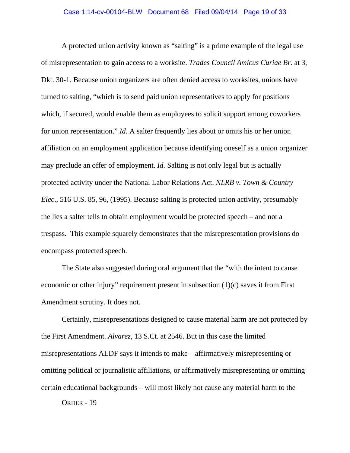### Case 1:14-cv-00104-BLW Document 68 Filed 09/04/14 Page 19 of 33

A protected union activity known as "salting" is a prime example of the legal use of misrepresentation to gain access to a worksite. *Trades Council Amicus Curiae Br.* at 3, Dkt. 30-1. Because union organizers are often denied access to worksites, unions have turned to salting, "which is to send paid union representatives to apply for positions which, if secured, would enable them as employees to solicit support among coworkers for union representation." *Id.* A salter frequently lies about or omits his or her union affiliation on an employment application because identifying oneself as a union organizer may preclude an offer of employment. *Id.* Salting is not only legal but is actually protected activity under the National Labor Relations Act. *NLRB v. Town & Country Elec*., 516 U.S. 85, 96, (1995). Because salting is protected union activity, presumably the lies a salter tells to obtain employment would be protected speech – and not a trespass. This example squarely demonstrates that the misrepresentation provisions do encompass protected speech.

The State also suggested during oral argument that the "with the intent to cause economic or other injury" requirement present in subsection (1)(c) saves it from First Amendment scrutiny. It does not.

Certainly, misrepresentations designed to cause material harm are not protected by the First Amendment. *Alvarez*, 13 S.Ct. at 2546. But in this case the limited misrepresentations ALDF says it intends to make – affirmatively misrepresenting or omitting political or journalistic affiliations, or affirmatively misrepresenting or omitting certain educational backgrounds – will most likely not cause any material harm to the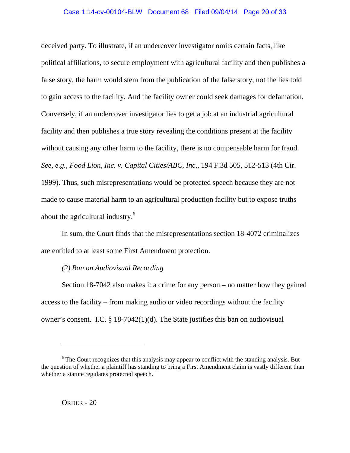### Case 1:14-cv-00104-BLW Document 68 Filed 09/04/14 Page 20 of 33

deceived party. To illustrate, if an undercover investigator omits certain facts, like political affiliations, to secure employment with agricultural facility and then publishes a false story, the harm would stem from the publication of the false story, not the lies told to gain access to the facility. And the facility owner could seek damages for defamation. Conversely, if an undercover investigator lies to get a job at an industrial agricultural facility and then publishes a true story revealing the conditions present at the facility without causing any other harm to the facility, there is no compensable harm for fraud. *See, e.g., Food Lion, Inc. v. Capital Cities/ABC, Inc*., 194 F.3d 505, 512-513 (4th Cir. 1999). Thus, such misrepresentations would be protected speech because they are not made to cause material harm to an agricultural production facility but to expose truths about the agricultural industry.6

In sum, the Court finds that the misrepresentations section 18-4072 criminalizes are entitled to at least some First Amendment protection.

# *(2) Ban on Audiovisual Recording*

Section 18-7042 also makes it a crime for any person – no matter how they gained access to the facility – from making audio or video recordings without the facility owner's consent. I.C. § 18-7042(1)(d). The State justifies this ban on audiovisual

 $\overline{a}$ 

 $6$  The Court recognizes that this analysis may appear to conflict with the standing analysis. But the question of whether a plaintiff has standing to bring a First Amendment claim is vastly different than whether a statute regulates protected speech.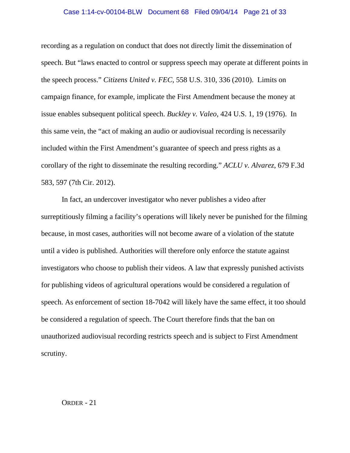## Case 1:14-cv-00104-BLW Document 68 Filed 09/04/14 Page 21 of 33

recording as a regulation on conduct that does not directly limit the dissemination of speech. But "laws enacted to control or suppress speech may operate at different points in the speech process." *Citizens United v. FEC*, 558 U.S. 310, 336 (2010). Limits on campaign finance, for example, implicate the First Amendment because the money at issue enables subsequent political speech. *Buckley v. Valeo*, 424 U.S. 1, 19 (1976). In this same vein, the "act of making an audio or audiovisual recording is necessarily included within the First Amendment's guarantee of speech and press rights as a corollary of the right to disseminate the resulting recording." *ACLU v. Alvarez*, 679 F.3d 583, 597 (7th Cir. 2012).

In fact, an undercover investigator who never publishes a video after surreptitiously filming a facility's operations will likely never be punished for the filming because, in most cases, authorities will not become aware of a violation of the statute until a video is published. Authorities will therefore only enforce the statute against investigators who choose to publish their videos. A law that expressly punished activists for publishing videos of agricultural operations would be considered a regulation of speech. As enforcement of section 18-7042 will likely have the same effect, it too should be considered a regulation of speech. The Court therefore finds that the ban on unauthorized audiovisual recording restricts speech and is subject to First Amendment scrutiny.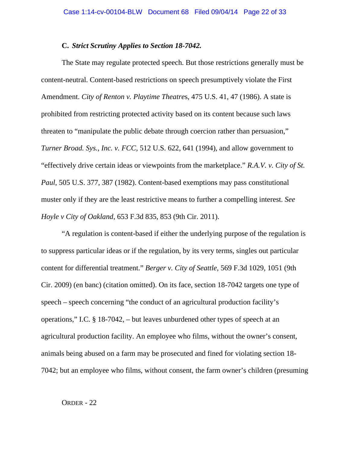### **C.** *Strict Scrutiny Applies to Section 18-7042.*

The State may regulate protected speech. But those restrictions generally must be content-neutral. Content-based restrictions on speech presumptively violate the First Amendment. *City of Renton v. Playtime Theatre*s, 475 U.S. 41, 47 (1986). A state is prohibited from restricting protected activity based on its content because such laws threaten to "manipulate the public debate through coercion rather than persuasion," *Turner Broad. Sys., Inc. v. FCC*, 512 U.S. 622, 641 (1994), and allow government to "effectively drive certain ideas or viewpoints from the marketplace." *R.A.V. v. City of St. Paul*, 505 U.S. 377, 387 (1982). Content-based exemptions may pass constitutional muster only if they are the least restrictive means to further a compelling interest. *See Hoyle v City of Oakland*, 653 F.3d 835, 853 (9th Cir. 2011).

"A regulation is content-based if either the underlying purpose of the regulation is to suppress particular ideas or if the regulation, by its very terms, singles out particular content for differential treatment." *Berger v. City of Seattle*, 569 F.3d 1029, 1051 (9th Cir. 2009) (en banc) (citation omitted). On its face, section 18-7042 targets one type of speech – speech concerning "the conduct of an agricultural production facility's operations," I.C. § 18-7042, – but leaves unburdened other types of speech at an agricultural production facility. An employee who films, without the owner's consent, animals being abused on a farm may be prosecuted and fined for violating section 18- 7042; but an employee who films, without consent, the farm owner's children (presuming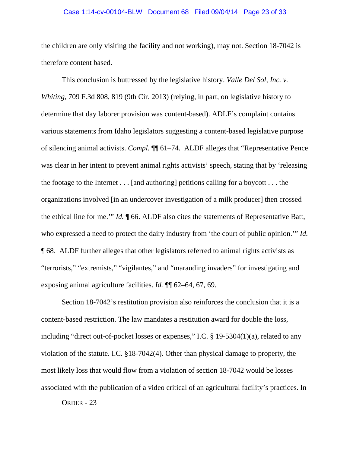## Case 1:14-cv-00104-BLW Document 68 Filed 09/04/14 Page 23 of 33

the children are only visiting the facility and not working), may not. Section 18-7042 is therefore content based.

This conclusion is buttressed by the legislative history. *Valle Del Sol, Inc. v. Whiting*, 709 F.3d 808, 819 (9th Cir. 2013) (relying, in part, on legislative history to determine that day laborer provision was content-based). ADLF's complaint contains various statements from Idaho legislators suggesting a content-based legislative purpose of silencing animal activists. *Compl.* ¶¶ 61–74. ALDF alleges that "Representative Pence was clear in her intent to prevent animal rights activists' speech, stating that by 'releasing the footage to the Internet . . . [and authoring] petitions calling for a boycott . . . the organizations involved [in an undercover investigation of a milk producer] then crossed the ethical line for me.'" *Id.* ¶ 66. ALDF also cites the statements of Representative Batt, who expressed a need to protect the dairy industry from 'the court of public opinion.'" *Id.* ¶ 68. ALDF further alleges that other legislators referred to animal rights activists as "terrorists," "extremists," "vigilantes," and "marauding invaders" for investigating and exposing animal agriculture facilities. *Id.* ¶¶ 62–64, 67, 69.

Section 18-7042's restitution provision also reinforces the conclusion that it is a content-based restriction. The law mandates a restitution award for double the loss, including "direct out-of-pocket losses or expenses," I.C. § 19-5304(1)(a), related to any violation of the statute. I.C. §18-7042(4). Other than physical damage to property, the most likely loss that would flow from a violation of section 18-7042 would be losses associated with the publication of a video critical of an agricultural facility's practices. In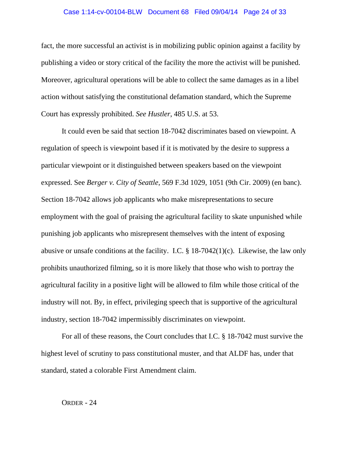### Case 1:14-cv-00104-BLW Document 68 Filed 09/04/14 Page 24 of 33

fact, the more successful an activist is in mobilizing public opinion against a facility by publishing a video or story critical of the facility the more the activist will be punished. Moreover, agricultural operations will be able to collect the same damages as in a libel action without satisfying the constitutional defamation standard, which the Supreme Court has expressly prohibited. *See Hustler*, 485 U.S. at 53.

It could even be said that section 18-7042 discriminates based on viewpoint. A regulation of speech is viewpoint based if it is motivated by the desire to suppress a particular viewpoint or it distinguished between speakers based on the viewpoint expressed. See *Berger v. City of Seattle*, 569 F.3d 1029, 1051 (9th Cir. 2009) (en banc). Section 18-7042 allows job applicants who make misrepresentations to secure employment with the goal of praising the agricultural facility to skate unpunished while punishing job applicants who misrepresent themselves with the intent of exposing abusive or unsafe conditions at the facility. I.C.  $\S$  18-7042(1)(c). Likewise, the law only prohibits unauthorized filming, so it is more likely that those who wish to portray the agricultural facility in a positive light will be allowed to film while those critical of the industry will not. By, in effect, privileging speech that is supportive of the agricultural industry, section 18-7042 impermissibly discriminates on viewpoint.

For all of these reasons, the Court concludes that I.C. § 18-7042 must survive the highest level of scrutiny to pass constitutional muster, and that ALDF has, under that standard, stated a colorable First Amendment claim.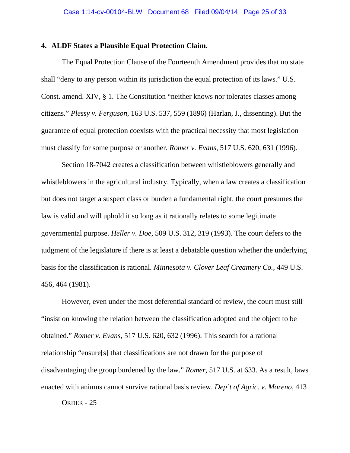## **4. ALDF States a Plausible Equal Protection Claim.**

The Equal Protection Clause of the Fourteenth Amendment provides that no state shall "deny to any person within its jurisdiction the equal protection of its laws." U.S. Const. amend. XIV, § 1. The Constitution "neither knows nor tolerates classes among citizens." *Plessy v. Ferguson*, 163 U.S. 537, 559 (1896) (Harlan, J., dissenting). But the guarantee of equal protection coexists with the practical necessity that most legislation must classify for some purpose or another. *Romer v. Evans*, 517 U.S. 620, 631 (1996).

Section 18-7042 creates a classification between whistleblowers generally and whistleblowers in the agricultural industry. Typically, when a law creates a classification but does not target a suspect class or burden a fundamental right, the court presumes the law is valid and will uphold it so long as it rationally relates to some legitimate governmental purpose. *Heller v. Doe*, 509 U.S. 312, 319 (1993). The court defers to the judgment of the legislature if there is at least a debatable question whether the underlying basis for the classification is rational. *Minnesota v. Clover Leaf Creamery Co.,* 449 U.S. 456, 464 (1981).

However, even under the most deferential standard of review, the court must still "insist on knowing the relation between the classification adopted and the object to be obtained." *Romer v. Evans*, 517 U.S. 620, 632 (1996). This search for a rational relationship "ensure[s] that classifications are not drawn for the purpose of disadvantaging the group burdened by the law." *Romer*, 517 U.S. at 633. As a result, laws enacted with animus cannot survive rational basis review. *Dep't of Agric. v. Moreno*, 413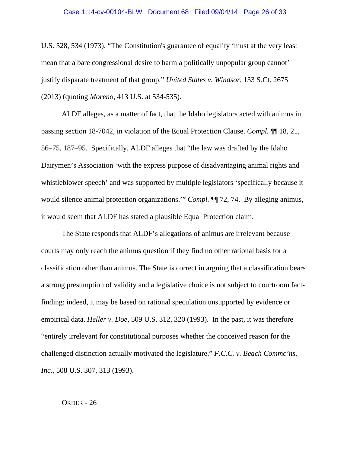### Case 1:14-cv-00104-BLW Document 68 Filed 09/04/14 Page 26 of 33

U.S. 528, 534 (1973). "The Constitution's guarantee of equality 'must at the very least mean that a bare congressional desire to harm a politically unpopular group cannot' justify disparate treatment of that group." *United States v. Windsor*, 133 S.Ct. 2675 (2013) (quoting *Moreno*, 413 U.S. at 534-535).

ALDF alleges, as a matter of fact, that the Idaho legislators acted with animus in passing section 18-7042, in violation of the Equal Protection Clause. *Compl.* ¶¶ 18, 21, 56–75, 187–95. Specifically, ALDF alleges that "the law was drafted by the Idaho Dairymen's Association 'with the express purpose of disadvantaging animal rights and whistleblower speech' and was supported by multiple legislators 'specifically because it would silence animal protection organizations." *Compl.* **[1]** 72, 74. By alleging animus, it would seem that ALDF has stated a plausible Equal Protection claim.

The State responds that ALDF's allegations of animus are irrelevant because courts may only reach the animus question if they find no other rational basis for a classification other than animus. The State is correct in arguing that a classification bears a strong presumption of validity and a legislative choice is not subject to courtroom factfinding; indeed, it may be based on rational speculation unsupported by evidence or empirical data. *Heller v. Doe*, 509 U.S. 312, 320 (1993). In the past, it was therefore "entirely irrelevant for constitutional purposes whether the conceived reason for the challenged distinction actually motivated the legislature." *F.C.C. v. Beach Commc'ns, Inc.*, 508 U.S. 307, 313 (1993).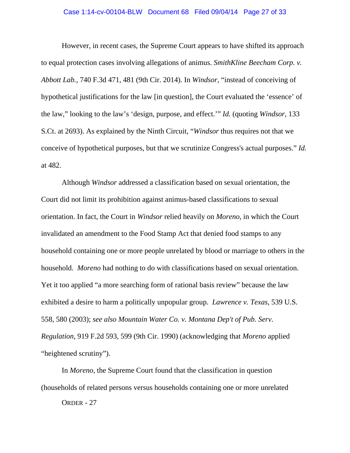### Case 1:14-cv-00104-BLW Document 68 Filed 09/04/14 Page 27 of 33

However, in recent cases, the Supreme Court appears to have shifted its approach to equal protection cases involving allegations of animus. *SmithKline Beecham Corp. v. Abbott Lab.*, 740 F.3d 471, 481 (9th Cir. 2014). In *Windsor*, "instead of conceiving of hypothetical justifications for the law [in question], the Court evaluated the 'essence' of the law," looking to the law's 'design, purpose, and effect.'" *Id.* (quoting *Windsor*, 133 S.Ct. at 2693). As explained by the Ninth Circuit, "*Windsor* thus requires not that we conceive of hypothetical purposes, but that we scrutinize Congress's actual purposes." *Id.* at 482.

Although *Windsor* addressed a classification based on sexual orientation, the Court did not limit its prohibition against animus-based classifications to sexual orientation. In fact, the Court in *Windsor* relied heavily on *Moreno,* in which the Court invalidated an amendment to the Food Stamp Act that denied food stamps to any household containing one or more people unrelated by blood or marriage to others in the household. *Moreno* had nothing to do with classifications based on sexual orientation. Yet it too applied "a more searching form of rational basis review" because the law exhibited a desire to harm a politically unpopular group. *Lawrence v. Texas,* 539 U.S. 558, 580 (2003); *see also Mountain Water Co. v. Montana Dep't of Pub. Serv. Regulation*, 919 F.2d 593, 599 (9th Cir. 1990) (acknowledging that *Moreno* applied "heightened scrutiny").

In *Moreno*, the Supreme Court found that the classification in question (households of related persons versus households containing one or more unrelated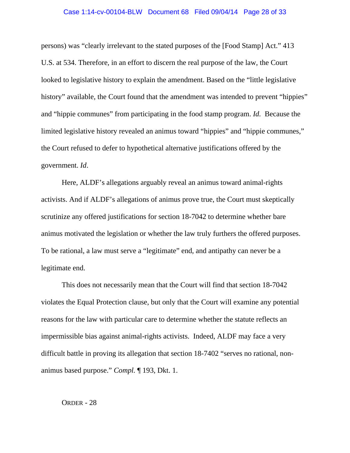## Case 1:14-cv-00104-BLW Document 68 Filed 09/04/14 Page 28 of 33

persons) was "clearly irrelevant to the stated purposes of the [Food Stamp] Act." 413 U.S. at 534. Therefore, in an effort to discern the real purpose of the law, the Court looked to legislative history to explain the amendment. Based on the "little legislative history" available, the Court found that the amendment was intended to prevent "hippies" and "hippie communes" from participating in the food stamp program. *Id.* Because the limited legislative history revealed an animus toward "hippies" and "hippie communes," the Court refused to defer to hypothetical alternative justifications offered by the government. *Id*.

Here, ALDF's allegations arguably reveal an animus toward animal-rights activists. And if ALDF's allegations of animus prove true, the Court must skeptically scrutinize any offered justifications for section 18-7042 to determine whether bare animus motivated the legislation or whether the law truly furthers the offered purposes. To be rational, a law must serve a "legitimate" end, and antipathy can never be a legitimate end.

This does not necessarily mean that the Court will find that section 18-7042 violates the Equal Protection clause, but only that the Court will examine any potential reasons for the law with particular care to determine whether the statute reflects an impermissible bias against animal-rights activists. Indeed, ALDF may face a very difficult battle in proving its allegation that section 18-7402 "serves no rational, nonanimus based purpose." *Compl.* ¶ 193, Dkt. 1.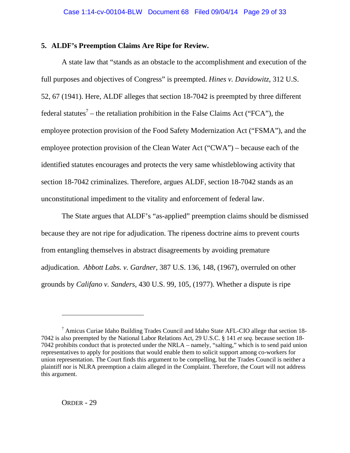# **5. ALDF's Preemption Claims Are Ripe for Review.**

A state law that "stands as an obstacle to the accomplishment and execution of the full purposes and objectives of Congress" is preempted. *Hines v. Davidowitz*, 312 U.S. 52, 67 (1941). Here, ALDF alleges that section 18-7042 is preempted by three different federal statutes<sup>7</sup> – the retaliation prohibition in the False Claims Act ("FCA"), the employee protection provision of the Food Safety Modernization Act ("FSMA"), and the employee protection provision of the Clean Water Act ("CWA") – because each of the identified statutes encourages and protects the very same whistleblowing activity that section 18-7042 criminalizes. Therefore, argues ALDF, section 18-7042 stands as an unconstitutional impediment to the vitality and enforcement of federal law.

The State argues that ALDF's "as-applied" preemption claims should be dismissed because they are not ripe for adjudication. The ripeness doctrine aims to prevent courts from entangling themselves in abstract disagreements by avoiding premature adjudication. *Abbott Labs. v. Gardner*, 387 U.S. 136, 148, (1967), overruled on other grounds by *Califano v. Sanders*, 430 U.S. 99, 105, (1977). Whether a dispute is ripe

 $\overline{a}$ 

<sup>&</sup>lt;sup>7</sup> Amicus Curiae Idaho Building Trades Council and Idaho State AFL-CIO allege that section 18-7042 is also preempted by the National Labor Relations Act, 29 U.S.C. § 141 *et seq.* because section 18- 7042 prohibits conduct that is protected under the NRLA – namely, "salting," which is to send paid union representatives to apply for positions that would enable them to solicit support among co-workers for union representation. The Court finds this argument to be compelling, but the Trades Council is neither a plaintiff nor is NLRA preemption a claim alleged in the Complaint. Therefore, the Court will not address this argument.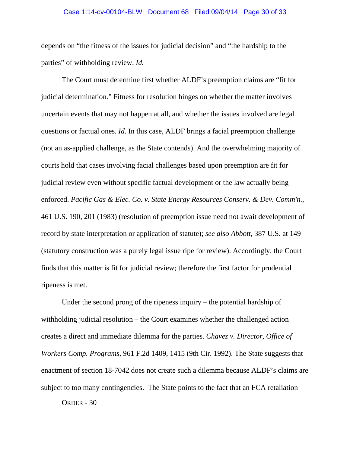### Case 1:14-cv-00104-BLW Document 68 Filed 09/04/14 Page 30 of 33

depends on "the fitness of the issues for judicial decision" and "the hardship to the parties" of withholding review. *Id.* 

The Court must determine first whether ALDF's preemption claims are "fit for judicial determination." Fitness for resolution hinges on whether the matter involves uncertain events that may not happen at all, and whether the issues involved are legal questions or factual ones. *Id.* In this case, ALDF brings a facial preemption challenge (not an as-applied challenge, as the State contends). And the overwhelming majority of courts hold that cases involving facial challenges based upon preemption are fit for judicial review even without specific factual development or the law actually being enforced. *Pacific Gas & Elec. Co. v. State Energy Resources Conserv. & Dev. Comm'n.,* 461 U.S. 190, 201 (1983) (resolution of preemption issue need not await development of record by state interpretation or application of statute); *see also Abbott,* 387 U.S. at 149 (statutory construction was a purely legal issue ripe for review). Accordingly, the Court finds that this matter is fit for judicial review; therefore the first factor for prudential ripeness is met.

Under the second prong of the ripeness inquiry – the potential hardship of withholding judicial resolution – the Court examines whether the challenged action creates a direct and immediate dilemma for the parties. *Chavez v. Director, Office of Workers Comp. Programs*, 961 F.2d 1409, 1415 (9th Cir. 1992). The State suggests that enactment of section 18-7042 does not create such a dilemma because ALDF's claims are subject to too many contingencies. The State points to the fact that an FCA retaliation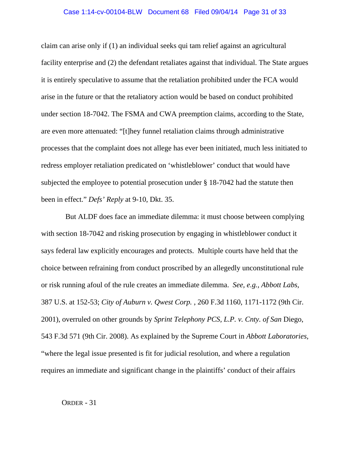claim can arise only if (1) an individual seeks qui tam relief against an agricultural facility enterprise and (2) the defendant retaliates against that individual. The State argues it is entirely speculative to assume that the retaliation prohibited under the FCA would arise in the future or that the retaliatory action would be based on conduct prohibited under section 18-7042. The FSMA and CWA preemption claims, according to the State, are even more attenuated: "[t]hey funnel retaliation claims through administrative processes that the complaint does not allege has ever been initiated, much less initiated to redress employer retaliation predicated on 'whistleblower' conduct that would have subjected the employee to potential prosecution under § 18-7042 had the statute then been in effect." *Defs' Reply* at 9-10, Dkt. 35.

 But ALDF does face an immediate dilemma: it must choose between complying with section 18-7042 and risking prosecution by engaging in whistleblower conduct it says federal law explicitly encourages and protects. Multiple courts have held that the choice between refraining from conduct proscribed by an allegedly unconstitutional rule or risk running afoul of the rule creates an immediate dilemma. *See, e.g., Abbott Labs,*  387 U.S. at 152-53; *City of Auburn v. Qwest Corp.* , 260 F.3d 1160, 1171-1172 (9th Cir. 2001), overruled on other grounds by *Sprint Telephony PCS, L.P. v. Cnty. of San* Diego, 543 F.3d 571 (9th Cir. 2008). As explained by the Supreme Court in *Abbott Laboratories,*  "where the legal issue presented is fit for judicial resolution, and where a regulation requires an immediate and significant change in the plaintiffs' conduct of their affairs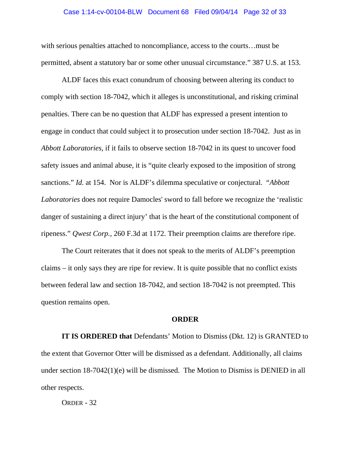### Case 1:14-cv-00104-BLW Document 68 Filed 09/04/14 Page 32 of 33

with serious penalties attached to noncompliance, access to the courts…must be permitted, absent a statutory bar or some other unusual circumstance." 387 U.S. at 153.

ALDF faces this exact conundrum of choosing between altering its conduct to comply with section 18-7042, which it alleges is unconstitutional, and risking criminal penalties. There can be no question that ALDF has expressed a present intention to engage in conduct that could subject it to prosecution under section 18-7042. Just as in *Abbott Laboratories,* if it fails to observe section 18-7042 in its quest to uncover food safety issues and animal abuse, it is "quite clearly exposed to the imposition of strong sanctions." *Id.* at 154. Nor is ALDF's dilemma speculative or conjectural. "*Abbott Laboratories* does not require Damocles' sword to fall before we recognize the 'realistic danger of sustaining a direct injury' that is the heart of the constitutional component of ripeness." *Qwest Corp.*, 260 F.3d at 1172. Their preemption claims are therefore ripe.

The Court reiterates that it does not speak to the merits of ALDF's preemption claims – it only says they are ripe for review. It is quite possible that no conflict exists between federal law and section 18-7042, and section 18-7042 is not preempted. This question remains open.

#### **ORDER**

**IT IS ORDERED that** Defendants' Motion to Dismiss (Dkt. 12) is GRANTED to the extent that Governor Otter will be dismissed as a defendant. Additionally, all claims under section 18-7042(1)(e) will be dismissed. The Motion to Dismiss is DENIED in all other respects.